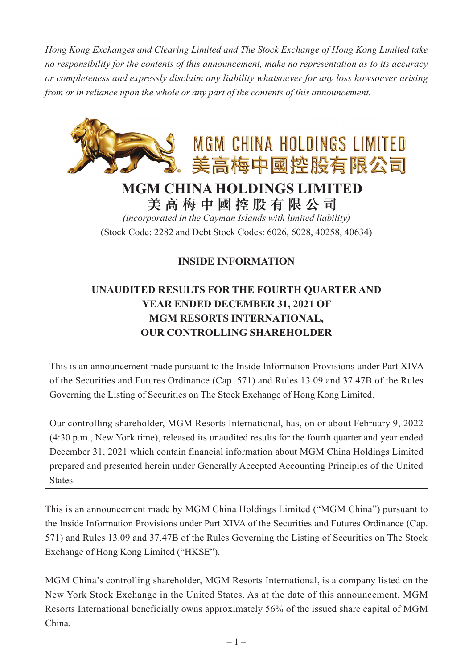*Hong Kong Exchanges and Clearing Limited and The Stock Exchange of Hong Kong Limited take no responsibility for the contents of this announcement, make no representation as to its accuracy or completeness and expressly disclaim any liability whatsoever for any loss howsoever arising from or in reliance upon the whole or any part of the contents of this announcement.*



## **MGM CHINA HOLDINGS LIMITED 美高梅中國控股有限公司**

*(incorporated in the Cayman Islands with limited liability)* (Stock Code: 2282 and Debt Stock Codes: 6026, 6028, 40258, 40634)

### **INSIDE INFORMATION**

## **UNAUDITED RESULTS FOR THE FOURTH QUARTER AND YEAR ENDED DECEMBER 31, 2021 OF MGM RESORTS INTERNATIONAL, OUR CONTROLLING SHAREHOLDER**

This is an announcement made pursuant to the Inside Information Provisions under Part XIVA of the Securities and Futures Ordinance (Cap. 571) and Rules 13.09 and 37.47B of the Rules Governing the Listing of Securities on The Stock Exchange of Hong Kong Limited.

Our controlling shareholder, MGM Resorts International, has, on or about February 9, 2022 (4:30 p.m., New York time), released its unaudited results for the fourth quarter and year ended December 31, 2021 which contain financial information about MGM China Holdings Limited prepared and presented herein under Generally Accepted Accounting Principles of the United States.

This is an announcement made by MGM China Holdings Limited ("MGM China") pursuant to the Inside Information Provisions under Part XIVA of the Securities and Futures Ordinance (Cap. 571) and Rules 13.09 and 37.47B of the Rules Governing the Listing of Securities on The Stock Exchange of Hong Kong Limited ("HKSE").

MGM China's controlling shareholder, MGM Resorts International, is a company listed on the New York Stock Exchange in the United States. As at the date of this announcement, MGM Resorts International beneficially owns approximately 56% of the issued share capital of MGM China.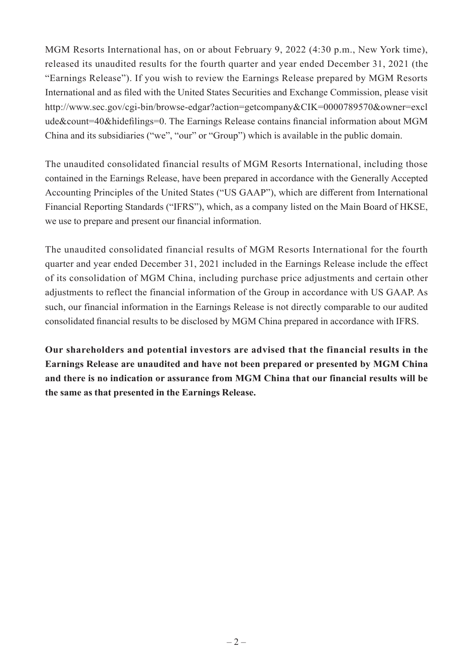MGM Resorts International has, on or about February 9, 2022 (4:30 p.m., New York time), released its unaudited results for the fourth quarter and year ended December 31, 2021 (the "Earnings Release"). If you wish to review the Earnings Release prepared by MGM Resorts International and as filed with the United States Securities and Exchange Commission, please visit [http://www.sec.gov/cgi-bin/browse-edgar?action=getcompany&CIK=0000789570&owner=excl](http://www.sec.gov/cgi-bin/browse-edgar?action=getcompany&CIK=0000789570&owner=exclude&count=40&hidefilings=0) [ude&count=40&hidefilings=0.](http://www.sec.gov/cgi-bin/browse-edgar?action=getcompany&CIK=0000789570&owner=exclude&count=40&hidefilings=0) The Earnings Release contains financial information about MGM China and its subsidiaries ("we", "our" or "Group") which is available in the public domain.

The unaudited consolidated financial results of MGM Resorts International, including those contained in the Earnings Release, have been prepared in accordance with the Generally Accepted Accounting Principles of the United States ("US GAAP"), which are different from International Financial Reporting Standards ("IFRS"), which, as a company listed on the Main Board of HKSE, we use to prepare and present our financial information.

The unaudited consolidated financial results of MGM Resorts International for the fourth quarter and year ended December 31, 2021 included in the Earnings Release include the effect of its consolidation of MGM China, including purchase price adjustments and certain other adjustments to reflect the financial information of the Group in accordance with US GAAP. As such, our financial information in the Earnings Release is not directly comparable to our audited consolidated financial results to be disclosed by MGM China prepared in accordance with IFRS.

**Our shareholders and potential investors are advised that the financial results in the Earnings Release are unaudited and have not been prepared or presented by MGM China and there is no indication or assurance from MGM China that our financial results will be the same as that presented in the Earnings Release.**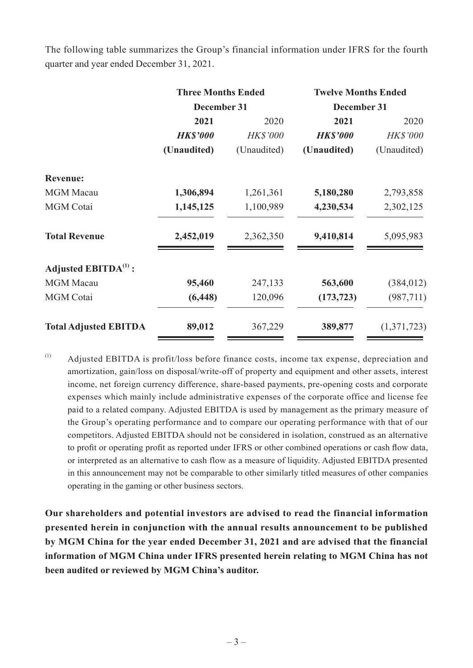The following table summarizes the Group's financial information under IFRS for the fourth quarter and year ended December 31, 2021.

|                              | <b>Three Months Ended</b><br>December 31 |                 | <b>Twelve Months Ended</b> |                 |
|------------------------------|------------------------------------------|-----------------|----------------------------|-----------------|
|                              |                                          |                 | December 31                |                 |
|                              | 2021                                     | 2020            | 2021                       | 2020            |
|                              | <b>HK\$'000</b>                          | <b>HK\$'000</b> | <b>HK\$'000</b>            | <b>HK\$'000</b> |
|                              | (Unaudited)                              | (Unaudited)     | (Unaudited)                | (Unaudited)     |
| <b>Revenue:</b>              |                                          |                 |                            |                 |
| <b>MGM</b> Macau             | 1,306,894                                | 1,261,361       | 5,180,280                  | 2,793,858       |
| <b>MGM</b> Cotai             | 1,145,125                                | 1,100,989       | 4,230,534                  | 2,302,125       |
| <b>Total Revenue</b>         | 2,452,019                                | 2,362,350       | 9,410,814                  | 5,095,983       |
| Adjusted $EBITDA(1)$ :       |                                          |                 |                            |                 |
| <b>MGM</b> Macau             | 95,460                                   | 247,133         | 563,600                    | (384, 012)      |
| <b>MGM</b> Cotai             | (6, 448)                                 | 120,096         | (173, 723)                 | (987, 711)      |
| <b>Total Adjusted EBITDA</b> | 89,012                                   | 367,229         | 389,877                    | (1,371,723)     |

(1) Adjusted EBITDA is profit/loss before finance costs, income tax expense, depreciation and amortization, gain/loss on disposal/write-off of property and equipment and other assets, interest income, net foreign currency difference, share-based payments, pre-opening costs and corporate expenses which mainly include administrative expenses of the corporate office and license fee paid to a related company. Adjusted EBITDA is used by management as the primary measure of the Group's operating performance and to compare our operating performance with that of our competitors. Adjusted EBITDA should not be considered in isolation, construed as an alternative to profit or operating profit as reported under IFRS or other combined operations or cash flow data, or interpreted as an alternative to cash flow as a measure of liquidity. Adjusted EBITDA presented in this announcement may not be comparable to other similarly titled measures of other companies operating in the gaming or other business sectors.

**Our shareholders and potential investors are advised to read the financial information presented herein in conjunction with the annual results announcement to be published by MGM China for the year ended December 31, 2021 and are advised that the financial information of MGM China under IFRS presented herein relating to MGM China has not been audited or reviewed by MGM China's auditor.**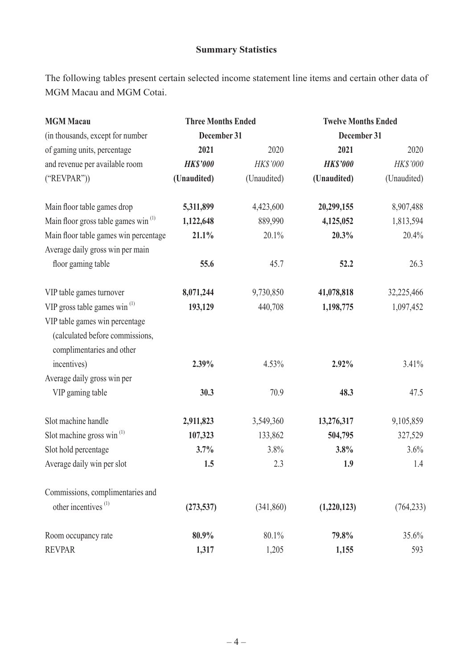# **Summary Statistics**

The following tables present certain selected income statement line items and certain other data of MGM Macau and MGM Cotai.

| <b>MGM Macau</b>                                                                               | <b>Three Months Ended</b> |             | <b>Twelve Months Ended</b> |             |
|------------------------------------------------------------------------------------------------|---------------------------|-------------|----------------------------|-------------|
| (in thousands, except for number                                                               | December 31               |             | December 31                |             |
| of gaming units, percentage                                                                    | 2021                      | 2020        | 2021                       | 2020        |
| and revenue per available room                                                                 | <b>HK\$'000</b>           | HK\$'000    | <b>HK\$'000</b>            | HK\$'000    |
| ("REVPAR")                                                                                     | (Unaudited)               | (Unaudited) | (Unaudited)                | (Unaudited) |
| Main floor table games drop                                                                    | 5,311,899                 | 4,423,600   | 20,299,155                 | 8,907,488   |
| Main floor gross table games win <sup>(1)</sup>                                                | 1,122,648                 | 889,990     | 4,125,052                  | 1,813,594   |
| Main floor table games win percentage                                                          | 21.1%                     | 20.1%       | 20.3%                      | 20.4%       |
| Average daily gross win per main                                                               |                           |             |                            |             |
| floor gaming table                                                                             | 55.6                      | 45.7        | 52.2                       | 26.3        |
| VIP table games turnover                                                                       | 8,071,244                 | 9,730,850   | 41,078,818                 | 32,225,466  |
| VIP gross table games win $^{(1)}$                                                             | 193,129                   | 440,708     | 1,198,775                  | 1,097,452   |
| VIP table games win percentage<br>(calculated before commissions,<br>complimentaries and other |                           |             |                            |             |
| incentives)                                                                                    | 2.39%                     | 4.53%       | 2.92%                      | 3.41%       |
| Average daily gross win per                                                                    |                           |             |                            |             |
| VIP gaming table                                                                               | 30.3                      | 70.9        | 48.3                       | 47.5        |
| Slot machine handle                                                                            | 2,911,823                 | 3,549,360   | 13,276,317                 | 9,105,859   |
| Slot machine gross win $(1)$                                                                   | 107,323                   | 133,862     | 504,795                    | 327,529     |
| Slot hold percentage                                                                           | 3.7%                      | 3.8%        | 3.8%                       | 3.6%        |
| Average daily win per slot                                                                     | 1.5                       | 2.3         | 1.9                        | 1.4         |
| Commissions, complimentaries and                                                               |                           |             |                            |             |
| other incentives <sup>(1)</sup>                                                                | (273, 537)                | (341, 860)  | (1,220,123)                | (764, 233)  |
| Room occupancy rate                                                                            | 80.9%                     | 80.1%       | 79.8%                      | 35.6%       |
| <b>REVPAR</b>                                                                                  | 1,317                     | 1,205       | 1,155                      | 593         |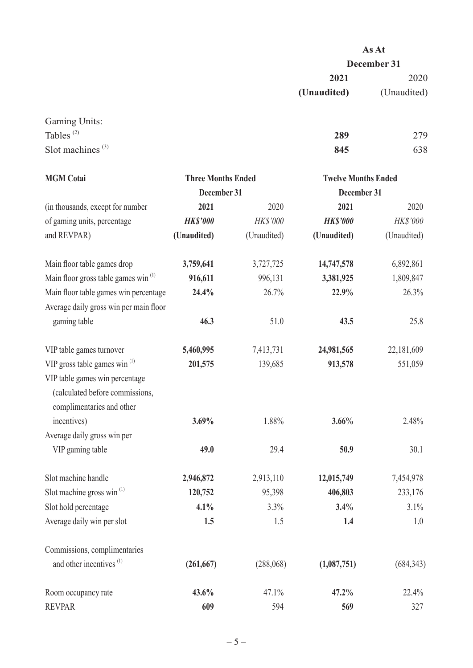**As At**

**December 31 2021** 2020 **(Unaudited)** (Unaudited)

| Gaming Units:                      |     |     |
|------------------------------------|-----|-----|
| Tables <sup><math>(2)</math></sup> | 289 | 279 |
| Slot machines $(3)$                | 845 | 638 |

| <b>MGM</b> Cotai                                                                               | <b>Three Months Ended</b> |             | <b>Twelve Months Ended</b> |             |
|------------------------------------------------------------------------------------------------|---------------------------|-------------|----------------------------|-------------|
|                                                                                                | December 31               |             | December 31                |             |
| (in thousands, except for number                                                               | 2021                      | 2020        | 2021                       | 2020        |
| of gaming units, percentage                                                                    | <b>HK\$'000</b>           | HK\$'000    | <b>HK\$'000</b>            | HK\$'000    |
| and REVPAR)                                                                                    | (Unaudited)               | (Unaudited) | (Unaudited)                | (Unaudited) |
| Main floor table games drop                                                                    | 3,759,641                 | 3,727,725   | 14,747,578                 | 6,892,861   |
| Main floor gross table games win <sup>(1)</sup>                                                | 916,611                   | 996,131     | 3,381,925                  | 1,809,847   |
| Main floor table games win percentage                                                          | 24.4%                     | 26.7%       | 22.9%                      | 26.3%       |
| Average daily gross win per main floor                                                         |                           |             |                            |             |
| gaming table                                                                                   | 46.3                      | 51.0        | 43.5                       | 25.8        |
| VIP table games turnover                                                                       | 5,460,995                 | 7,413,731   | 24,981,565                 | 22,181,609  |
| VIP gross table games win <sup>(1)</sup>                                                       | 201,575                   | 139,685     | 913,578                    | 551,059     |
| VIP table games win percentage<br>(calculated before commissions,<br>complimentaries and other |                           |             |                            |             |
| incentives)                                                                                    | 3.69%                     | 1.88%       | 3.66%                      | 2.48%       |
| Average daily gross win per                                                                    |                           |             |                            |             |
| VIP gaming table                                                                               | 49.0                      | 29.4        | 50.9                       | 30.1        |
| Slot machine handle                                                                            | 2,946,872                 | 2,913,110   | 12,015,749                 | 7,454,978   |
| Slot machine gross win <sup>(1)</sup>                                                          | 120,752                   | 95,398      | 406,803                    | 233,176     |
| Slot hold percentage                                                                           | 4.1%                      | 3.3%        | 3.4%                       | 3.1%        |
| Average daily win per slot                                                                     | 1.5                       | 1.5         | 1.4                        | 1.0         |
| Commissions, complimentaries                                                                   |                           |             |                            |             |
| and other incentives <sup>(1)</sup>                                                            | (261, 667)                | (288,068)   | (1,087,751)                | (684, 343)  |
| Room occupancy rate                                                                            | 43.6%                     | 47.1%       | 47.2%                      | 22.4%       |
| <b>REVPAR</b>                                                                                  | 609                       | 594         | 569                        | 327         |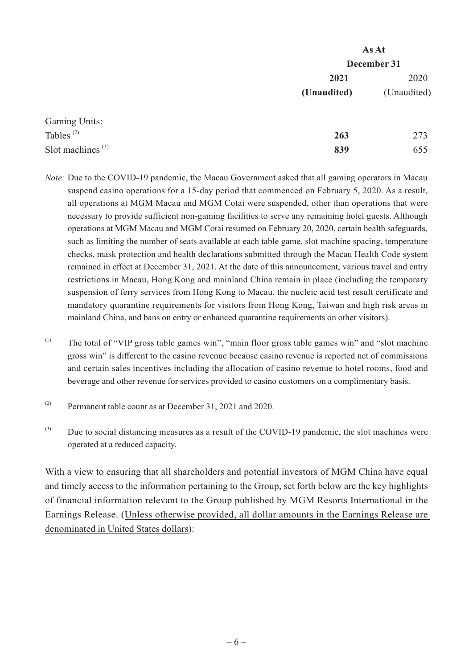|                       |             | As At       |  |  |
|-----------------------|-------------|-------------|--|--|
|                       |             | December 31 |  |  |
|                       | 2021        | 2020        |  |  |
|                       | (Unaudited) | (Unaudited) |  |  |
| Gaming Units:         |             |             |  |  |
| Tables <sup>(2)</sup> | 263         | 273         |  |  |

| TAUICS              | 20J | د ا پ |
|---------------------|-----|-------|
| Slot machines $(3)$ | 839 | 655   |
|                     |     |       |
|                     |     |       |

- *Note:* Due to the COVID-19 pandemic, the Macau Government asked that all gaming operators in Macau suspend casino operations for a 15-day period that commenced on February 5, 2020. As a result, all operations at MGM Macau and MGM Cotai were suspended, other than operations that were necessary to provide sufficient non-gaming facilities to serve any remaining hotel guests. Although operations at MGM Macau and MGM Cotai resumed on February 20, 2020, certain health safeguards, such as limiting the number of seats available at each table game, slot machine spacing, temperature checks, mask protection and health declarations submitted through the Macau Health Code system remained in effect at December 31, 2021. At the date of this announcement, various travel and entry restrictions in Macau, Hong Kong and mainland China remain in place (including the temporary suspension of ferry services from Hong Kong to Macau, the nucleic acid test result certificate and mandatory quarantine requirements for visitors from Hong Kong, Taiwan and high risk areas in mainland China, and bans on entry or enhanced quarantine requirements on other visitors).
- (1) The total of "VIP gross table games win", "main floor gross table games win" and "slot machine gross win" is different to the casino revenue because casino revenue is reported net of commissions and certain sales incentives including the allocation of casino revenue to hotel rooms, food and beverage and other revenue for services provided to casino customers on a complimentary basis.
- <sup>(2)</sup> Permanent table count as at December 31, 2021 and 2020.
- $^{(3)}$  Due to social distancing measures as a result of the COVID-19 pandemic, the slot machines were operated at a reduced capacity.

With a view to ensuring that all shareholders and potential investors of MGM China have equal and timely access to the information pertaining to the Group, set forth below are the key highlights of financial information relevant to the Group published by MGM Resorts International in the Earnings Release. (Unless otherwise provided, all dollar amounts in the Earnings Release are denominated in United States dollars):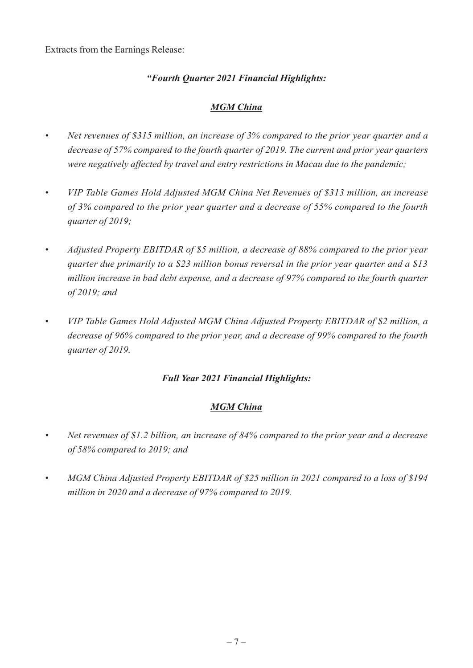Extracts from the Earnings Release:

### *"Fourth Quarter 2021 Financial Highlights:*

### *MGM China*

- *• Net revenues of \$315 million, an increase of 3% compared to the prior year quarter and a decrease of 57% compared to the fourth quarter of 2019. The current and prior year quarters were negatively affected by travel and entry restrictions in Macau due to the pandemic;*
- *• VIP Table Games Hold Adjusted MGM China Net Revenues of \$313 million, an increase of 3% compared to the prior year quarter and a decrease of 55% compared to the fourth quarter of 2019;*
- *• Adjusted Property EBITDAR of \$5 million, a decrease of 88% compared to the prior year quarter due primarily to a \$23 million bonus reversal in the prior year quarter and a \$13 million increase in bad debt expense, and a decrease of 97% compared to the fourth quarter of 2019; and*
- *• VIP Table Games Hold Adjusted MGM China Adjusted Property EBITDAR of \$2 million, a decrease of 96% compared to the prior year, and a decrease of 99% compared to the fourth quarter of 2019.*

#### *Full Year 2021 Financial Highlights:*

### *MGM China*

- *• Net revenues of \$1.2 billion, an increase of 84% compared to the prior year and a decrease of 58% compared to 2019; and*
- *• MGM China Adjusted Property EBITDAR of \$25 million in 2021 compared to a loss of \$194 million in 2020 and a decrease of 97% compared to 2019.*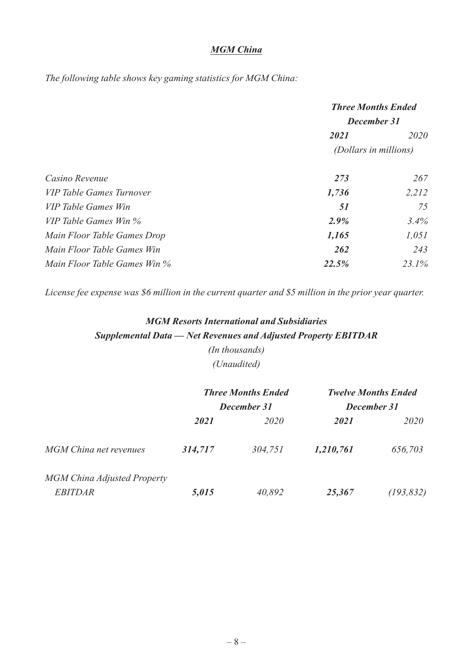#### *MGM China*

*The following table shows key gaming statistics for MGM China:*

|                                 | <b>Three Months Ended</b><br>December 31 |       |
|---------------------------------|------------------------------------------|-------|
|                                 |                                          |       |
|                                 | 2021                                     | 2020  |
|                                 | (Dollars in millions)                    |       |
| Casino Revenue                  | 273                                      | 267   |
| <b>VIP</b> Table Games Turnover | 1,736                                    | 2,212 |
| <b>VIP</b> Table Games Win      | 51                                       | 75    |
| VIP Table Games Win %           | 2.9%                                     | 3.4%  |
| Main Floor Table Games Drop     | 1,165                                    | 1,051 |
| Main Floor Table Games Win      | 262                                      | 243   |
| Main Floor Table Games Win %    | 22.5%                                    | 23.1% |

*License fee expense was \$6 million in the current quarter and \$5 million in the prior year quarter.*

# *MGM Resorts International and Subsidiaries Supplemental Data — Net Revenues and Adjusted Property EBITDAR*

*(In thousands) (Unaudited)*

|                             | <b>Three Months Ended</b><br><b>December 31</b> |         | <b>Twelve Months Ended</b><br><b>December 31</b> |           |
|-----------------------------|-------------------------------------------------|---------|--------------------------------------------------|-----------|
|                             |                                                 |         |                                                  |           |
|                             | 2021                                            | 2020    | 2021                                             | 2020      |
| MGM China net revenues      | 314,717                                         | 304,751 | 1,210,761                                        | 656,703   |
| MGM China Adjusted Property |                                                 |         |                                                  |           |
| <i>EBITDAR</i>              | 5,015                                           | 40,892  | 25,367                                           | (193,832) |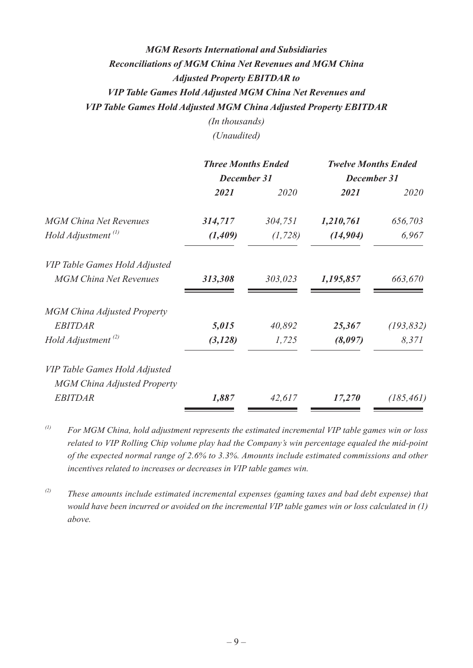# *MGM Resorts International and Subsidiaries Reconciliations of MGM China Net Revenues and MGM China Adjusted Property EBITDAR to VIP Table Games Hold Adjusted MGM China Net Revenues and VIP Table Games Hold Adjusted MGM China Adjusted Property EBITDAR (In thousands)*

*(Unaudited)*

|                                      | <b>Three Months Ended</b><br>December 31 |          | <b>Twelve Months Ended</b><br>December 31 |            |
|--------------------------------------|------------------------------------------|----------|-------------------------------------------|------------|
|                                      | 2021                                     | 2020     | 2021                                      | 2020       |
| <b>MGM China Net Revenues</b>        | 314,717                                  | 304,751  | 1,210,761                                 | 656,703    |
| Hold Adjustment <sup>(1)</sup>       | (1,409)                                  | (1, 728) | (14, 904)                                 | 6,967      |
| <b>VIP Table Games Hold Adjusted</b> |                                          |          |                                           |            |
| <b>MGM China Net Revenues</b>        | 313,308                                  | 303,023  | 1,195,857                                 | 663,670    |
| <b>MGM China Adjusted Property</b>   |                                          |          |                                           |            |
| <b>EBITDAR</b>                       | 5,015                                    | 40,892   | 25,367                                    | (193, 832) |
| Hold Adjustment <sup>(2)</sup>       | (3,128)                                  | 1,725    | (8,097)                                   | 8,371      |
| <b>VIP Table Games Hold Adjusted</b> |                                          |          |                                           |            |
| <b>MGM China Adjusted Property</b>   |                                          |          |                                           |            |
| <b>EBITDAR</b>                       | 1,887                                    | 42,617   | 17,270                                    | (185, 461) |

*(1) For MGM China, hold adjustment represents the estimated incremental VIP table games win or loss related to VIP Rolling Chip volume play had the Company's win percentage equaled the mid-point of the expected normal range of 2.6% to 3.3%. Amounts include estimated commissions and other incentives related to increases or decreases in VIP table games win.*

*(2) These amounts include estimated incremental expenses (gaming taxes and bad debt expense) that would have been incurred or avoided on the incremental VIP table games win or loss calculated in (1) above.*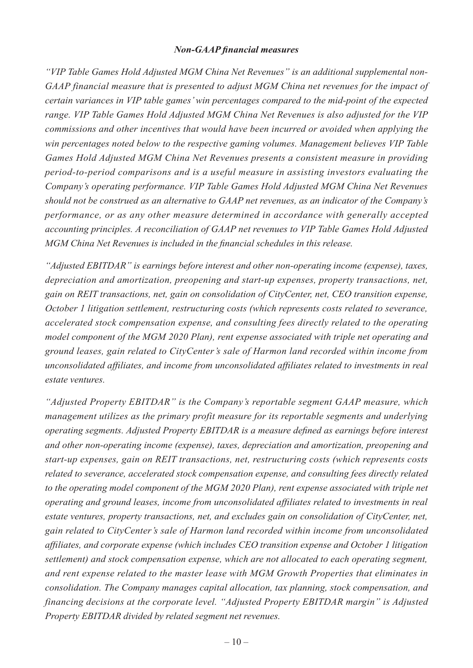#### *Non-GAAP financial measures*

*"VIP Table Games Hold Adjusted MGM China Net Revenues" is an additional supplemental non-GAAP financial measure that is presented to adjust MGM China net revenues for the impact of certain variances in VIP table games' win percentages compared to the mid-point of the expected range. VIP Table Games Hold Adjusted MGM China Net Revenues is also adjusted for the VIP commissions and other incentives that would have been incurred or avoided when applying the win percentages noted below to the respective gaming volumes. Management believes VIP Table Games Hold Adjusted MGM China Net Revenues presents a consistent measure in providing period-to-period comparisons and is a useful measure in assisting investors evaluating the Company's operating performance. VIP Table Games Hold Adjusted MGM China Net Revenues should not be construed as an alternative to GAAP net revenues, as an indicator of the Company's performance, or as any other measure determined in accordance with generally accepted accounting principles. A reconciliation of GAAP net revenues to VIP Table Games Hold Adjusted MGM China Net Revenues is included in the financial schedules in this release.*

*"Adjusted EBITDAR" is earnings before interest and other non-operating income (expense), taxes, depreciation and amortization, preopening and start-up expenses, property transactions, net, gain on REIT transactions, net, gain on consolidation of CityCenter, net, CEO transition expense, October 1 litigation settlement, restructuring costs (which represents costs related to severance, accelerated stock compensation expense, and consulting fees directly related to the operating model component of the MGM 2020 Plan), rent expense associated with triple net operating and ground leases, gain related to CityCenter's sale of Harmon land recorded within income from unconsolidated affiliates, and income from unconsolidated affiliates related to investments in real estate ventures.*

*"Adjusted Property EBITDAR" is the Company's reportable segment GAAP measure, which management utilizes as the primary profit measure for its reportable segments and underlying operating segments. Adjusted Property EBITDAR is a measure defined as earnings before interest and other non-operating income (expense), taxes, depreciation and amortization, preopening and start-up expenses, gain on REIT transactions, net, restructuring costs (which represents costs related to severance, accelerated stock compensation expense, and consulting fees directly related to the operating model component of the MGM 2020 Plan), rent expense associated with triple net operating and ground leases, income from unconsolidated affiliates related to investments in real estate ventures, property transactions, net, and excludes gain on consolidation of CityCenter, net, gain related to CityCenter's sale of Harmon land recorded within income from unconsolidated affiliates, and corporate expense (which includes CEO transition expense and October 1 litigation settlement) and stock compensation expense, which are not allocated to each operating segment, and rent expense related to the master lease with MGM Growth Properties that eliminates in consolidation. The Company manages capital allocation, tax planning, stock compensation, and financing decisions at the corporate level. "Adjusted Property EBITDAR margin" is Adjusted Property EBITDAR divided by related segment net revenues.*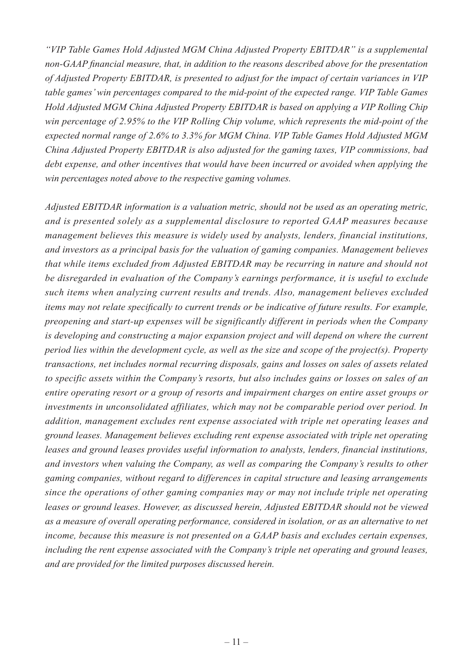*"VIP Table Games Hold Adjusted MGM China Adjusted Property EBITDAR" is a supplemental non-GAAP financial measure, that, in addition to the reasons described above for the presentation of Adjusted Property EBITDAR, is presented to adjust for the impact of certain variances in VIP table games' win percentages compared to the mid-point of the expected range. VIP Table Games Hold Adjusted MGM China Adjusted Property EBITDAR is based on applying a VIP Rolling Chip win percentage of 2.95% to the VIP Rolling Chip volume, which represents the mid-point of the expected normal range of 2.6% to 3.3% for MGM China. VIP Table Games Hold Adjusted MGM China Adjusted Property EBITDAR is also adjusted for the gaming taxes, VIP commissions, bad debt expense, and other incentives that would have been incurred or avoided when applying the win percentages noted above to the respective gaming volumes.*

*Adjusted EBITDAR information is a valuation metric, should not be used as an operating metric, and is presented solely as a supplemental disclosure to reported GAAP measures because management believes this measure is widely used by analysts, lenders, financial institutions, and investors as a principal basis for the valuation of gaming companies. Management believes that while items excluded from Adjusted EBITDAR may be recurring in nature and should not be disregarded in evaluation of the Company's earnings performance, it is useful to exclude such items when analyzing current results and trends. Also, management believes excluded items may not relate specifically to current trends or be indicative of future results. For example, preopening and start-up expenses will be significantly different in periods when the Company is developing and constructing a major expansion project and will depend on where the current period lies within the development cycle, as well as the size and scope of the project(s). Property transactions, net includes normal recurring disposals, gains and losses on sales of assets related to specific assets within the Company's resorts, but also includes gains or losses on sales of an entire operating resort or a group of resorts and impairment charges on entire asset groups or investments in unconsolidated affiliates, which may not be comparable period over period. In addition, management excludes rent expense associated with triple net operating leases and ground leases. Management believes excluding rent expense associated with triple net operating leases and ground leases provides useful information to analysts, lenders, financial institutions, and investors when valuing the Company, as well as comparing the Company's results to other gaming companies, without regard to differences in capital structure and leasing arrangements since the operations of other gaming companies may or may not include triple net operating leases or ground leases. However, as discussed herein, Adjusted EBITDAR should not be viewed as a measure of overall operating performance, considered in isolation, or as an alternative to net income, because this measure is not presented on a GAAP basis and excludes certain expenses, including the rent expense associated with the Company's triple net operating and ground leases, and are provided for the limited purposes discussed herein.*